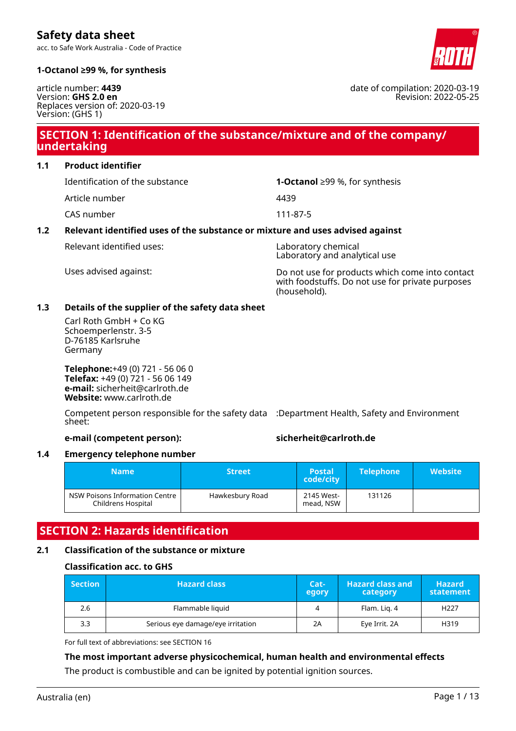acc. to Safe Work Australia - Code of Practice



date of compilation: 2020-03-19

Revision: 2022-05-25

### **1-Octanol ≥99 %, for synthesis**

article number: **4439** Version: **GHS 2.0 en** Replaces version of: 2020-03-19 Version: (GHS 1)

# **SECTION 1: Identification of the substance/mixture and of the company/ undertaking**

### **1.1 Product identifier**

Article number 4439

CAS number 111-87-5

# Identification of the substance **1-Octanol** ≥99 %, for synthesis

# **1.2 Relevant identified uses of the substance or mixture and uses advised against**

Relevant identified uses: Laboratory chemical

Laboratory and analytical use

Uses advised against: Do not use for products which come into contact with foodstuffs. Do not use for private purposes (household).

### **1.3 Details of the supplier of the safety data sheet**

Carl Roth GmbH + Co KG Schoemperlenstr. 3-5 D-76185 Karlsruhe Germany

**Telephone:**+49 (0) 721 - 56 06 0 **Telefax:** +49 (0) 721 - 56 06 149 **e-mail:** sicherheit@carlroth.de **Website:** www.carlroth.de

Competent person responsible for the safety data :Department Health, Safety and Environment sheet:

### **e-mail (competent person): sicherheit@carlroth.de**

### **1.4 Emergency telephone number**

| <b>Name</b>                                          | <b>Street</b>   | <b>Postal</b><br>code/city | <b>Telephone</b> | <b>Website</b> |
|------------------------------------------------------|-----------------|----------------------------|------------------|----------------|
| NSW Poisons Information Centre<br>Childrens Hospital | Hawkesbury Road | 2145 West-<br>mead, NSW    | 131126           |                |

# **SECTION 2: Hazards identification**

### **2.1 Classification of the substance or mixture**

### **Classification acc. to GHS**

| <b>Section</b> | <b>Hazard class</b>               |    | <b>Hazard class and</b><br>category | <b>Hazard</b><br>statement |
|----------------|-----------------------------------|----|-------------------------------------|----------------------------|
| 2.6            | Flammable liquid                  |    | Flam. Lig. 4                        | H <sub>227</sub>           |
| 3.3            | Serious eye damage/eye irritation | 2A | Eye Irrit. 2A                       | H319                       |

For full text of abbreviations: see SECTION 16

# **The most important adverse physicochemical, human health and environmental effects**

The product is combustible and can be ignited by potential ignition sources.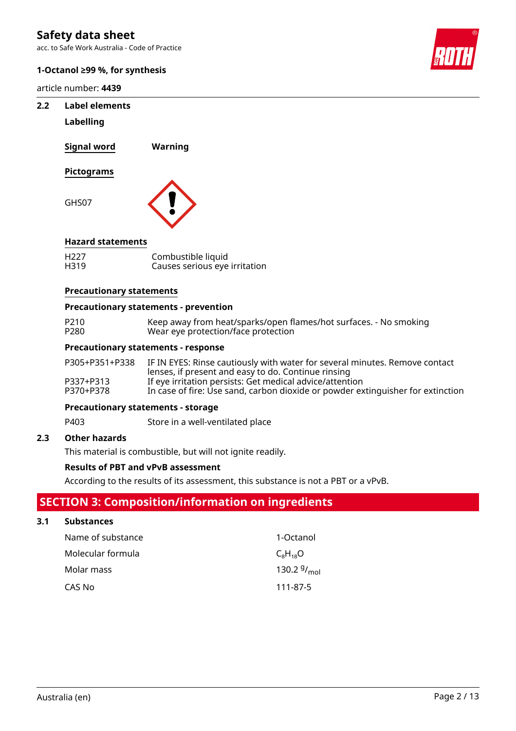acc. to Safe Work Australia - Code of Practice

### **1-Octanol ≥99 %, for synthesis**

article number: **4439**



### **2.2 Label elements**

### **Labelling**

**Signal word Warning Pictograms**

GHS07



### **Hazard statements**

| H <sub>227</sub> | Combustible liquid            |
|------------------|-------------------------------|
| H319             | Causes serious eye irritation |

### **Precautionary statements**

### **Precautionary statements - prevention**

| P210 | Keep away from heat/sparks/open flames/hot surfaces. - No smoking |
|------|-------------------------------------------------------------------|
| P280 | Wear eye protection/face protection                               |

### **Precautionary statements - response**

| P305+P351+P338 | IF IN EYES: Rinse cautiously with water for several minutes. Remove contact<br>lenses, if present and easy to do. Continue rinsing |
|----------------|------------------------------------------------------------------------------------------------------------------------------------|
| P337+P313      | If eye irritation persists: Get medical advice/attention                                                                           |
| P370+P378      | In case of fire: Use sand, carbon dioxide or powder extinguisher for extinction                                                    |

### **Precautionary statements - storage**

P403 Store in a well-ventilated place

### **2.3 Other hazards**

This material is combustible, but will not ignite readily.

### **Results of PBT and vPvB assessment**

According to the results of its assessment, this substance is not a PBT or a vPvB.

# **SECTION 3: Composition/information on ingredients**

### **3.1 Substances**

| Name of substance | 1-Octanol        |
|-------------------|------------------|
| Molecular formula | $C_8H_{18}O$     |
| Molar mass        | 130.2 $9/_{mol}$ |
| CAS No            | 111-87-5         |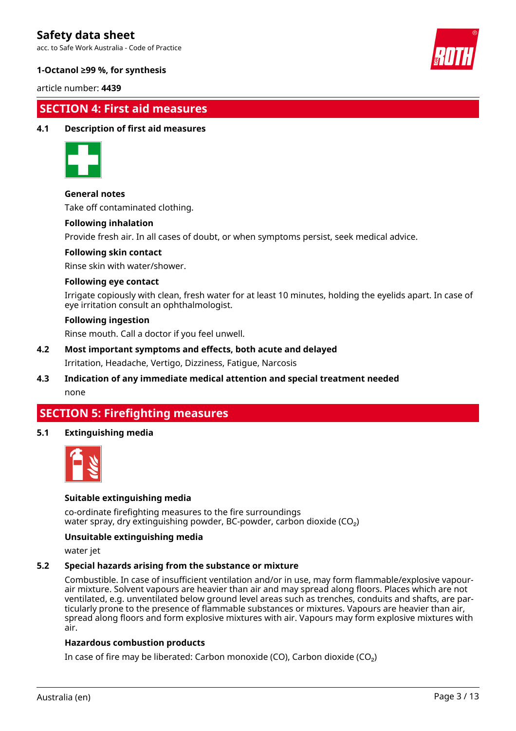acc. to Safe Work Australia - Code of Practice



### **1-Octanol ≥99 %, for synthesis**

article number: **4439**

# **SECTION 4: First aid measures**

### **4.1 Description of first aid measures**



### **General notes**

Take off contaminated clothing.

### **Following inhalation**

Provide fresh air. In all cases of doubt, or when symptoms persist, seek medical advice.

### **Following skin contact**

Rinse skin with water/shower.

### **Following eye contact**

Irrigate copiously with clean, fresh water for at least 10 minutes, holding the eyelids apart. In case of eye irritation consult an ophthalmologist.

### **Following ingestion**

Rinse mouth. Call a doctor if you feel unwell.

- **4.2 Most important symptoms and effects, both acute and delayed** Irritation, Headache, Vertigo, Dizziness, Fatigue, Narcosis
- **4.3 Indication of any immediate medical attention and special treatment needed** none

# **SECTION 5: Firefighting measures**

### **5.1 Extinguishing media**



### **Suitable extinguishing media**

co-ordinate firefighting measures to the fire surroundings water spray, dry extinguishing powder, BC-powder, carbon dioxide (CO<sub>2</sub>)

### **Unsuitable extinguishing media**

water jet

### **5.2 Special hazards arising from the substance or mixture**

Combustible. In case of insufficient ventilation and/or in use, may form flammable/explosive vapourair mixture. Solvent vapours are heavier than air and may spread along floors. Places which are not ventilated, e.g. unventilated below ground level areas such as trenches, conduits and shafts, are particularly prone to the presence of flammable substances or mixtures. Vapours are heavier than air, spread along floors and form explosive mixtures with air. Vapours may form explosive mixtures with air.

### **Hazardous combustion products**

In case of fire may be liberated: Carbon monoxide (CO), Carbon dioxide (CO₂)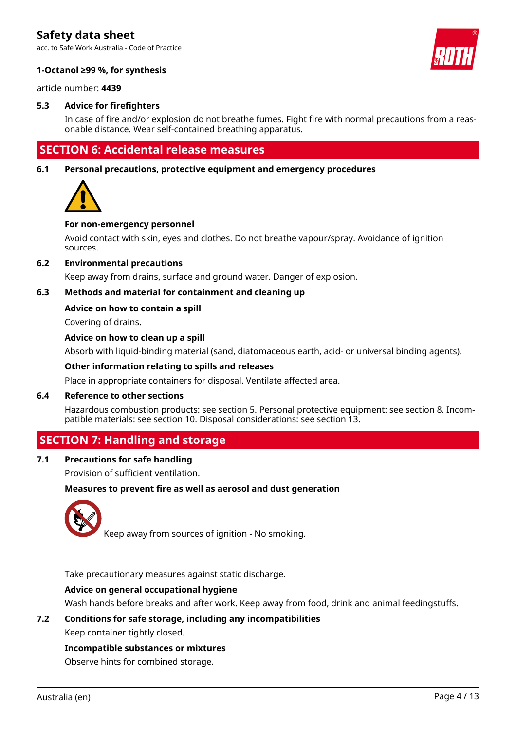acc. to Safe Work Australia - Code of Practice



### **1-Octanol ≥99 %, for synthesis**

article number: **4439**

### **5.3 Advice for firefighters**

In case of fire and/or explosion do not breathe fumes. Fight fire with normal precautions from a reasonable distance. Wear self-contained breathing apparatus.

# **SECTION 6: Accidental release measures**

**6.1 Personal precautions, protective equipment and emergency procedures**



### **For non-emergency personnel**

Avoid contact with skin, eyes and clothes. Do not breathe vapour/spray. Avoidance of ignition sources.

### **6.2 Environmental precautions**

Keep away from drains, surface and ground water. Danger of explosion.

### **6.3 Methods and material for containment and cleaning up**

### **Advice on how to contain a spill**

Covering of drains.

### **Advice on how to clean up a spill**

Absorb with liquid-binding material (sand, diatomaceous earth, acid- or universal binding agents).

### **Other information relating to spills and releases**

Place in appropriate containers for disposal. Ventilate affected area.

### **6.4 Reference to other sections**

Hazardous combustion products: see section 5. Personal protective equipment: see section 8. Incompatible materials: see section 10. Disposal considerations: see section 13.

### **SECTION 7: Handling and storage**

### **7.1 Precautions for safe handling**

Provision of sufficient ventilation.

### **Measures to prevent fire as well as aerosol and dust generation**



Keep away from sources of ignition - No smoking.

Take precautionary measures against static discharge.

### **Advice on general occupational hygiene**

Wash hands before breaks and after work. Keep away from food, drink and animal feedingstuffs.

### **7.2 Conditions for safe storage, including any incompatibilities**

Keep container tightly closed.

**Incompatible substances or mixtures**

Observe hints for combined storage.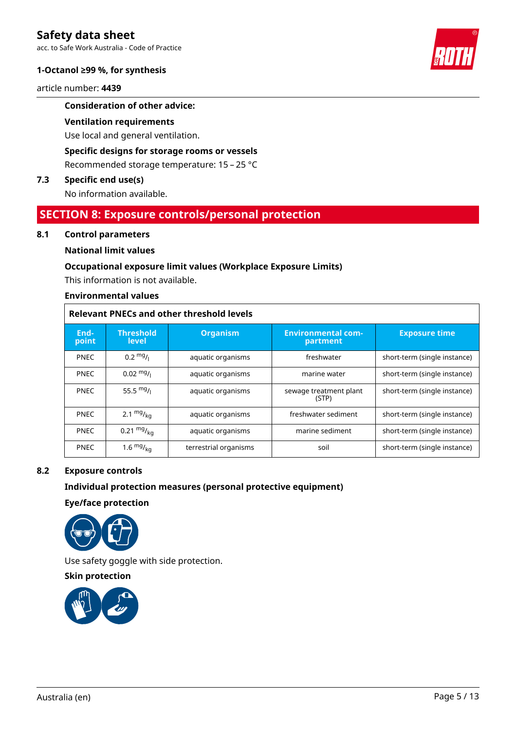acc. to Safe Work Australia - Code of Practice

### **1-Octanol ≥99 %, for synthesis**

article number: **4439**

### **Consideration of other advice:**

### **Ventilation requirements**

Use local and general ventilation.

### **Specific designs for storage rooms or vessels**

Recommended storage temperature: 15 – 25 °C

### **7.3 Specific end use(s)**

No information available.

### **SECTION 8: Exposure controls/personal protection**

### **8.1 Control parameters**

### **National limit values**

### **Occupational exposure limit values (Workplace Exposure Limits)**

This information is not available.

### **Environmental values**

### **Relevant PNECs and other threshold levels**

| End-<br>point | <b>Threshold</b><br>level | <b>Organism</b>       | <b>Environmental com-</b><br>partment | <b>Exposure time</b>         |
|---------------|---------------------------|-----------------------|---------------------------------------|------------------------------|
| <b>PNEC</b>   | $0.2 \frac{mg}{L}$        | aquatic organisms     | freshwater                            | short-term (single instance) |
| <b>PNEC</b>   | $0.02 \frac{mg}{l}$       | aquatic organisms     | marine water                          | short-term (single instance) |
| <b>PNEC</b>   | 55.5 $mg/1$               | aquatic organisms     | sewage treatment plant<br>(STP)       | short-term (single instance) |
| <b>PNEC</b>   | 2.1 $mg/_{ka}$            | aquatic organisms     | freshwater sediment                   | short-term (single instance) |
| <b>PNEC</b>   | 0.21 $mg/kq$              | aquatic organisms     | marine sediment                       | short-term (single instance) |
| <b>PNEC</b>   | 1.6 $mg/kq$               | terrestrial organisms | soil                                  | short-term (single instance) |

### **8.2 Exposure controls**

### **Individual protection measures (personal protective equipment)**

**Eye/face protection**



Use safety goggle with side protection.

**Skin protection**



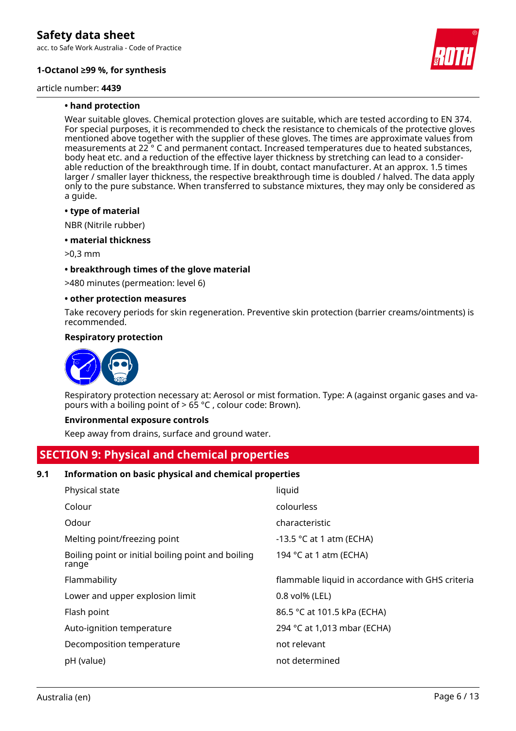acc. to Safe Work Australia - Code of Practice

### **1-Octanol ≥99 %, for synthesis**

article number: **4439**



### **• hand protection**

Wear suitable gloves. Chemical protection gloves are suitable, which are tested according to EN 374. For special purposes, it is recommended to check the resistance to chemicals of the protective gloves mentioned above together with the supplier of these gloves. The times are approximate values from measurements at 22 ° C and permanent contact. Increased temperatures due to heated substances, body heat etc. and a reduction of the effective layer thickness by stretching can lead to a considerable reduction of the breakthrough time. If in doubt, contact manufacturer. At an approx. 1.5 times larger / smaller layer thickness, the respective breakthrough time is doubled / halved. The data apply only to the pure substance. When transferred to substance mixtures, they may only be considered as a guide.

### **• type of material**

NBR (Nitrile rubber)

### **• material thickness**

>0,3 mm

### **• breakthrough times of the glove material**

>480 minutes (permeation: level 6)

### **• other protection measures**

Take recovery periods for skin regeneration. Preventive skin protection (barrier creams/ointments) is recommended.

### **Respiratory protection**



Respiratory protection necessary at: Aerosol or mist formation. Type: A (against organic gases and vapours with a boiling point of  $> 65$  °C, colour code: Brown).

### **Environmental exposure controls**

Keep away from drains, surface and ground water.

### **SECTION 9: Physical and chemical properties**

### **9.1 Information on basic physical and chemical properties**

| Physical state                                              | liquid                                           |
|-------------------------------------------------------------|--------------------------------------------------|
| Colour                                                      | colourless                                       |
| Odour                                                       | characteristic                                   |
| Melting point/freezing point                                | -13.5 $\degree$ C at 1 atm (ECHA)                |
| Boiling point or initial boiling point and boiling<br>range | 194 °C at 1 atm (ECHA)                           |
| Flammability                                                | flammable liquid in accordance with GHS criteria |
| Lower and upper explosion limit                             | $0.8$ vol% (LEL)                                 |
| Flash point                                                 | 86.5 °C at 101.5 kPa (ECHA)                      |
| Auto-ignition temperature                                   | 294 °C at 1,013 mbar (ECHA)                      |
| Decomposition temperature                                   | not relevant                                     |
| pH (value)                                                  | not determined                                   |
|                                                             |                                                  |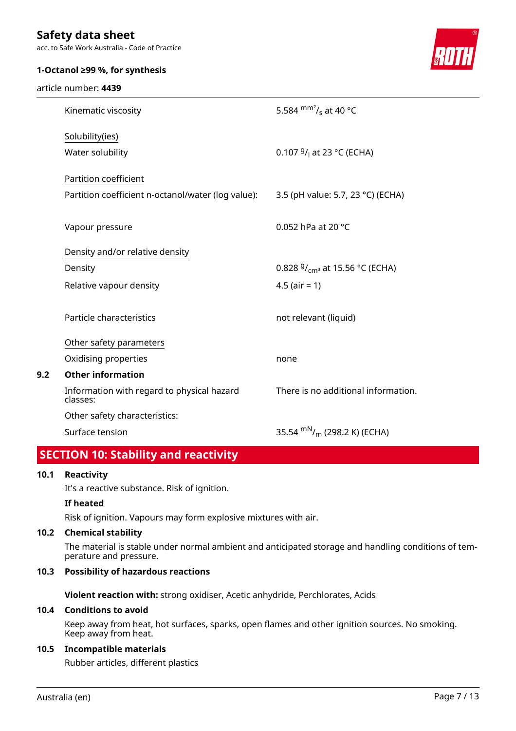acc. to Safe Work Australia - Code of Practice

### **1-Octanol ≥99 %, for synthesis**

article number: **4439**



| Kinematic viscosity                                    | 5.584 $\text{mm}^2$ / <sub>s</sub> at 40 °C          |
|--------------------------------------------------------|------------------------------------------------------|
| Solubility(ies)                                        |                                                      |
| Water solubility                                       | 0.107 $9/1$ at 23 °C (ECHA)                          |
| Partition coefficient                                  |                                                      |
| Partition coefficient n-octanol/water (log value):     | 3.5 (pH value: 5.7, 23 °C) (ECHA)                    |
|                                                        |                                                      |
| Vapour pressure                                        | 0.052 hPa at 20 °C                                   |
| Density and/or relative density                        |                                                      |
| Density                                                | 0.828 $9/_{cm^3}$ at 15.56 °C (ECHA)                 |
| Relative vapour density                                | 4.5 ( $air = 1$ )                                    |
|                                                        |                                                      |
| Particle characteristics                               | not relevant (liquid)                                |
| Other safety parameters                                |                                                      |
| Oxidising properties                                   | none                                                 |
| <b>Other information</b>                               |                                                      |
| Information with regard to physical hazard<br>classes: | There is no additional information.                  |
| Other safety characteristics:                          |                                                      |
| Surface tension                                        | 35.54 m <sup>N</sup> / <sub>m</sub> (298.2 K) (ECHA) |
| п.<br>$\mathbf{r}$ . The set of $\mathbf{r}$           |                                                      |

# **SECTION 10: Stability and reactivity**

### **10.1 Reactivity**

**9.2** 

It's a reactive substance. Risk of ignition.

### **If heated**

Risk of ignition. Vapours may form explosive mixtures with air.

### **10.2 Chemical stability**

The material is stable under normal ambient and anticipated storage and handling conditions of temperature and pressure.

### **10.3 Possibility of hazardous reactions**

**Violent reaction with:** strong oxidiser, Acetic anhydride, Perchlorates, Acids

### **10.4 Conditions to avoid**

Keep away from heat, hot surfaces, sparks, open flames and other ignition sources. No smoking. Keep away from heat.

### **10.5 Incompatible materials**

Rubber articles, different plastics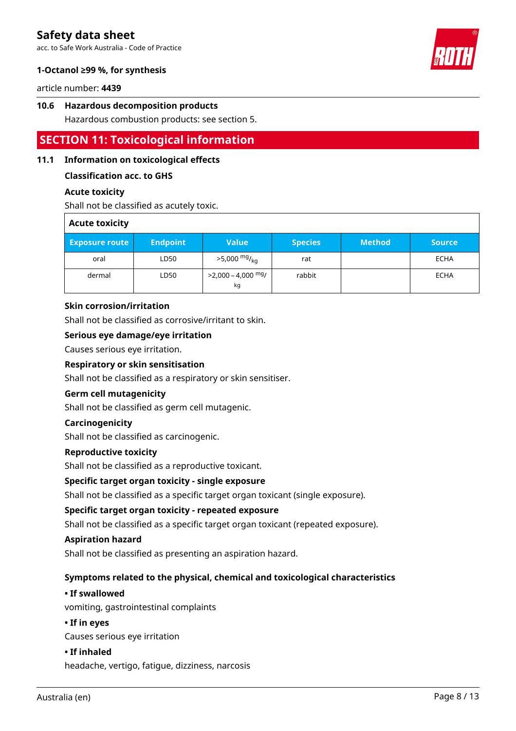acc. to Safe Work Australia - Code of Practice



### **1-Octanol ≥99 %, for synthesis**

article number: **4439**

### **10.6 Hazardous decomposition products**

Hazardous combustion products: see section 5.

# **SECTION 11: Toxicological information**

### **11.1 Information on toxicological effects**

### **Classification acc. to GHS**

### **Acute toxicity**

Shall not be classified as acutely toxic.

| <b>Acute toxicity</b> |                 |                                      |                |               |               |
|-----------------------|-----------------|--------------------------------------|----------------|---------------|---------------|
| <b>Exposure route</b> | <b>Endpoint</b> | <b>Value</b>                         | <b>Species</b> | <b>Method</b> | <b>Source</b> |
| oral                  | LD50            | $>5,000$ mg/ <sub>kg</sub>           | rat            |               | ECHA          |
| dermal                | LD50            | >2,000 - 4,000 <sup>mg</sup> /<br>kg | rabbit         |               | ECHA          |

### **Skin corrosion/irritation**

Shall not be classified as corrosive/irritant to skin.

### **Serious eye damage/eye irritation**

Causes serious eye irritation.

### **Respiratory or skin sensitisation**

Shall not be classified as a respiratory or skin sensitiser.

### **Germ cell mutagenicity**

Shall not be classified as germ cell mutagenic.

### **Carcinogenicity**

Shall not be classified as carcinogenic.

### **Reproductive toxicity**

Shall not be classified as a reproductive toxicant.

### **Specific target organ toxicity - single exposure**

Shall not be classified as a specific target organ toxicant (single exposure).

### **Specific target organ toxicity - repeated exposure**

Shall not be classified as a specific target organ toxicant (repeated exposure).

### **Aspiration hazard**

Shall not be classified as presenting an aspiration hazard.

### **Symptoms related to the physical, chemical and toxicological characteristics**

### **• If swallowed**

vomiting, gastrointestinal complaints

### **• If in eyes**

Causes serious eye irritation

### **• If inhaled**

headache, vertigo, fatigue, dizziness, narcosis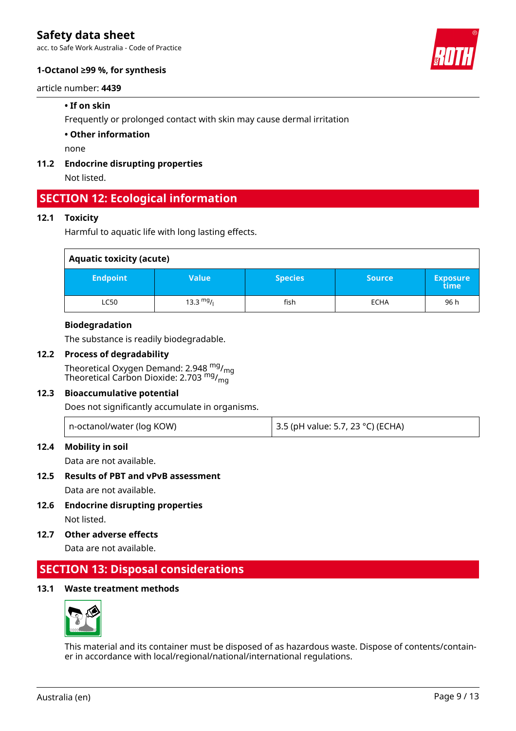acc. to Safe Work Australia - Code of Practice

### **1-Octanol ≥99 %, for synthesis**

### article number: **4439**

### **• If on skin**

Frequently or prolonged contact with skin may cause dermal irritation

### **• Other information**

none

### **11.2 Endocrine disrupting properties**

Not listed.

# **SECTION 12: Ecological information**

### **12.1 Toxicity**

Harmful to aquatic life with long lasting effects.

| <b>Aquatic toxicity (acute)</b> |              |                |               |                         |
|---------------------------------|--------------|----------------|---------------|-------------------------|
| <b>Endpoint</b>                 | <b>Value</b> | <b>Species</b> | <b>Source</b> | <b>Exposure</b><br>time |
| <b>LC50</b>                     | 13.3 $mg/1$  | fish           | <b>ECHA</b>   | 96 h                    |

### **Biodegradation**

The substance is readily biodegradable.

### **12.2 Process of degradability**

Theoretical Oxygen Demand: 2.948 mg/mg Theoretical Carbon Dioxide: 2.703  $^{\mathsf{mg}}\prime_{\mathsf{mg}}$ 

### **12.3 Bioaccumulative potential**

Does not significantly accumulate in organisms.

|  | n-octanol/water (log KOW) | 3.5 (pH value: 5.7, 23 °C) (ECHA) |
|--|---------------------------|-----------------------------------|
|--|---------------------------|-----------------------------------|

### **12.4 Mobility in soil**

Data are not available.

### **12.5 Results of PBT and vPvB assessment**

Data are not available.

- **12.6 Endocrine disrupting properties** Not listed.
- **12.7 Other adverse effects**

Data are not available.

# **SECTION 13: Disposal considerations**

### **13.1 Waste treatment methods**



This material and its container must be disposed of as hazardous waste. Dispose of contents/container in accordance with local/regional/national/international regulations.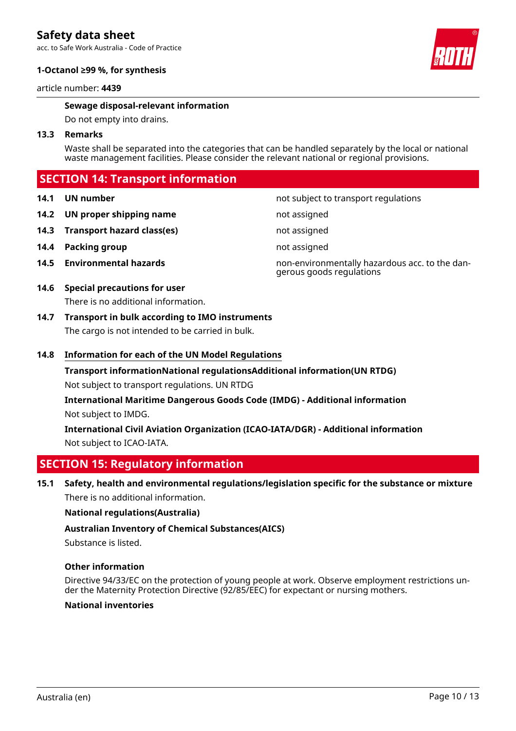acc. to Safe Work Australia - Code of Practice

### **1-Octanol ≥99 %, for synthesis**

article number: **4439**

### **Sewage disposal-relevant information**

Do not empty into drains.

### **13.3 Remarks**

Waste shall be separated into the categories that can be handled separately by the local or national waste management facilities. Please consider the relevant national or regional provisions.

## **SECTION 14: Transport information**

### **14.1 UN number 14.1 UN** number

- **14.2 UN proper shipping name** not assigned
- **14.3 Transport hazard class(es)** not assigned
- **14.4 Packing group not assigned**
- 

### **14.6 Special precautions for user** There is no additional information.

**14.7 Transport in bulk according to IMO instruments** The cargo is not intended to be carried in bulk.

### **14.8 Information for each of the UN Model Regulations**

**Transport informationNational regulationsAdditional information(UN RTDG)** Not subject to transport regulations. UN RTDG

**International Maritime Dangerous Goods Code (IMDG) - Additional information** Not subject to IMDG.

**International Civil Aviation Organization (ICAO-IATA/DGR) - Additional information** Not subject to ICAO-IATA.

# **SECTION 15: Regulatory information**

**15.1 Safety, health and environmental regulations/legislation specific for the substance or mixture** There is no additional information.

### **National regulations(Australia)**

### **Australian Inventory of Chemical Substances(AICS)**

Substance is listed.

### **Other information**

Directive 94/33/EC on the protection of young people at work. Observe employment restrictions under the Maternity Protection Directive (92/85/EEC) for expectant or nursing mothers.

### **National inventories**



**14.5 Environmental hazards** non-environmentally hazardous acc. to the dangerous goods regulations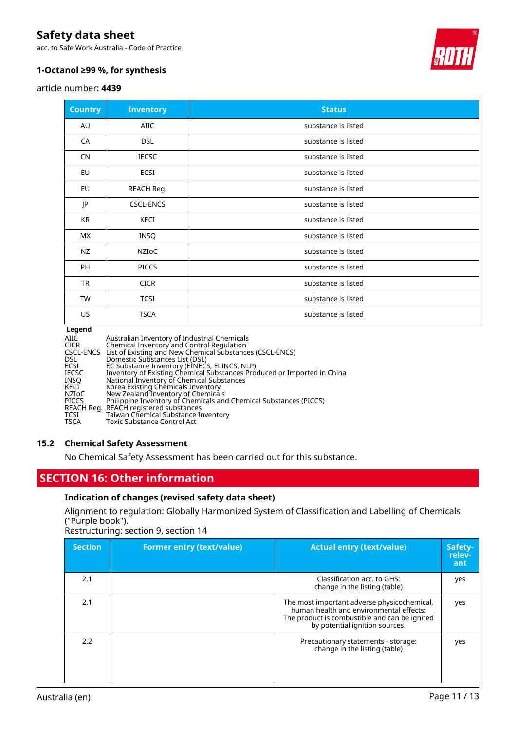acc. to Safe Work Australia - Code of Practice



### **1-Octanol ≥99 %, for synthesis**

article number: **4439**

| <b>Country</b> | <b>Inventory</b> | <b>Status</b>       |
|----------------|------------------|---------------------|
| AU             | AIIC             | substance is listed |
| CA             | <b>DSL</b>       | substance is listed |
| <b>CN</b>      | <b>IECSC</b>     | substance is listed |
| EU             | ECSI             | substance is listed |
| EU             | REACH Reg.       | substance is listed |
| JP             | <b>CSCL-ENCS</b> | substance is listed |
| KR             | KECI             | substance is listed |
| МX             | INSQ             | substance is listed |
| NZ             | NZIoC            | substance is listed |
| PH             | <b>PICCS</b>     | substance is listed |
| <b>TR</b>      | <b>CICR</b>      | substance is listed |
| <b>TW</b>      | <b>TCSI</b>      | substance is listed |
| US             | <b>TSCA</b>      | substance is listed |

### **Legend**

| AIIC         | Australian Inventory of Industrial Chemicals                            |
|--------------|-------------------------------------------------------------------------|
|              |                                                                         |
| <b>CICR</b>  | Chemical Inventory and Control Regulation                               |
|              | CSCL-ENCS List of Existing and New Chemical Substances (CSCL-ENCS)      |
| <b>DSL</b>   | Domestic Substances List (DSL)                                          |
| ECSI         | EC Substance Inventory (EINECS, ELINCS, NLP)                            |
| <b>IECSC</b> | Inventory of Existing Chemical Substances Produced or Imported in China |
| <b>INSO</b>  | National Inventory of Chemical Substances                               |
| KECI         | Korea Existing Chemicals Inventory                                      |
| NZIoC        | New Zealand Inventory of Chemicals                                      |
| <b>PICCS</b> | Philippine Inventory of Chemicals and Chemical Substances (PICCS)       |
|              | REACH Reg. REACH registered substances                                  |
| TCSI         | Taiwan Chemical Substance Inventory                                     |
| <b>TSCA</b>  | Toxic Substance Control Act                                             |

### **15.2 Chemical Safety Assessment**

No Chemical Safety Assessment has been carried out for this substance.

# **SECTION 16: Other information**

### **Indication of changes (revised safety data sheet)**

Alignment to regulation: Globally Harmonized System of Classification and Labelling of Chemicals ("Purple book").

Restructuring: section 9, section 14

| <b>Section</b> | <b>Former entry (text/value)</b> | <b>Actual entry (text/value)</b>                                                                                                                                          | Safety-<br>relev-<br>ant |
|----------------|----------------------------------|---------------------------------------------------------------------------------------------------------------------------------------------------------------------------|--------------------------|
| 2.1            |                                  | Classification acc. to GHS:<br>change in the listing (table)                                                                                                              | yes                      |
| 2.1            |                                  | The most important adverse physicochemical,<br>human health and environmental effects:<br>The product is combustible and can be ignited<br>by potential ignition sources. | yes                      |
| 2.2            |                                  | Precautionary statements - storage:<br>change in the listing (table)                                                                                                      | yes                      |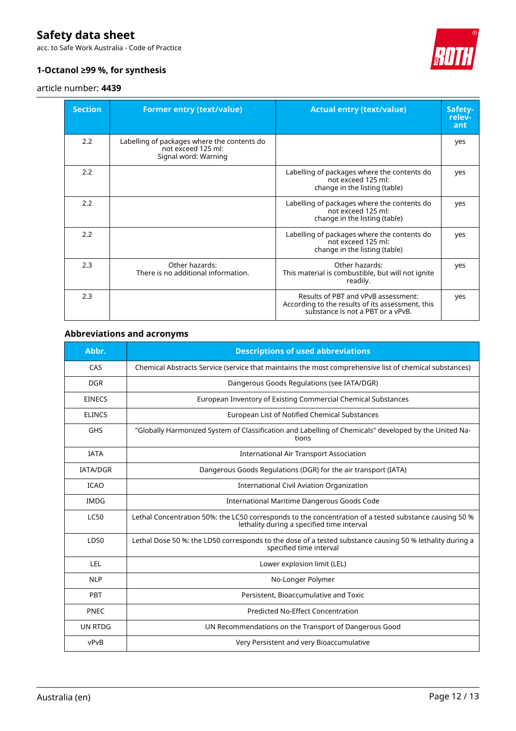acc. to Safe Work Australia - Code of Practice



### **1-Octanol ≥99 %, for synthesis**

### article number: **4439**

| <b>Section</b> | <b>Former entry (text/value)</b>                                                          | <b>Actual entry (text/value)</b>                                                                                             | Safety-<br>relev-<br>ant |
|----------------|-------------------------------------------------------------------------------------------|------------------------------------------------------------------------------------------------------------------------------|--------------------------|
| 2.2            | Labelling of packages where the contents do<br>not exceed 125 ml:<br>Signal word: Warning |                                                                                                                              | yes                      |
| 2.2            |                                                                                           | Labelling of packages where the contents do<br>not exceed 125 ml:<br>change in the listing (table)                           | yes                      |
| 2.2            |                                                                                           | Labelling of packages where the contents do<br>not exceed 125 ml:<br>change in the listing (table)                           | yes                      |
| 2.2            |                                                                                           | Labelling of packages where the contents do<br>not exceed 125 ml:<br>change in the listing (table)                           | yes                      |
| 2.3            | Other hazards:<br>There is no additional information.                                     | Other hazards:<br>This material is combustible, but will not ignite<br>readily.                                              | yes                      |
| 2.3            |                                                                                           | Results of PBT and vPvB assessment:<br>According to the results of its assessment, this<br>substance is not a PBT or a vPvB. | yes                      |

## **Abbreviations and acronyms**

| Abbr.           | <b>Descriptions of used abbreviations</b>                                                                                                            |
|-----------------|------------------------------------------------------------------------------------------------------------------------------------------------------|
| CAS             | Chemical Abstracts Service (service that maintains the most comprehensive list of chemical substances)                                               |
| <b>DGR</b>      | Dangerous Goods Regulations (see IATA/DGR)                                                                                                           |
| <b>EINECS</b>   | European Inventory of Existing Commercial Chemical Substances                                                                                        |
| <b>ELINCS</b>   | European List of Notified Chemical Substances                                                                                                        |
| <b>GHS</b>      | "Globally Harmonized System of Classification and Labelling of Chemicals" developed by the United Na-<br>tions                                       |
| <b>IATA</b>     | <b>International Air Transport Association</b>                                                                                                       |
| <b>IATA/DGR</b> | Dangerous Goods Regulations (DGR) for the air transport (IATA)                                                                                       |
| <b>ICAO</b>     | International Civil Aviation Organization                                                                                                            |
| <b>IMDG</b>     | International Maritime Dangerous Goods Code                                                                                                          |
| <b>LC50</b>     | Lethal Concentration 50%: the LC50 corresponds to the concentration of a tested substance causing 50 %<br>lethality during a specified time interval |
| LD50            | Lethal Dose 50 %: the LD50 corresponds to the dose of a tested substance causing 50 % lethality during a<br>specified time interval                  |
| <b>LEL</b>      | Lower explosion limit (LEL)                                                                                                                          |
| <b>NLP</b>      | No-Longer Polymer                                                                                                                                    |
| PBT             | Persistent, Bioaccumulative and Toxic                                                                                                                |
| PNEC            | Predicted No-Effect Concentration                                                                                                                    |
| <b>UN RTDG</b>  | UN Recommendations on the Transport of Dangerous Good                                                                                                |
| vPvB            | Very Persistent and very Bioaccumulative                                                                                                             |